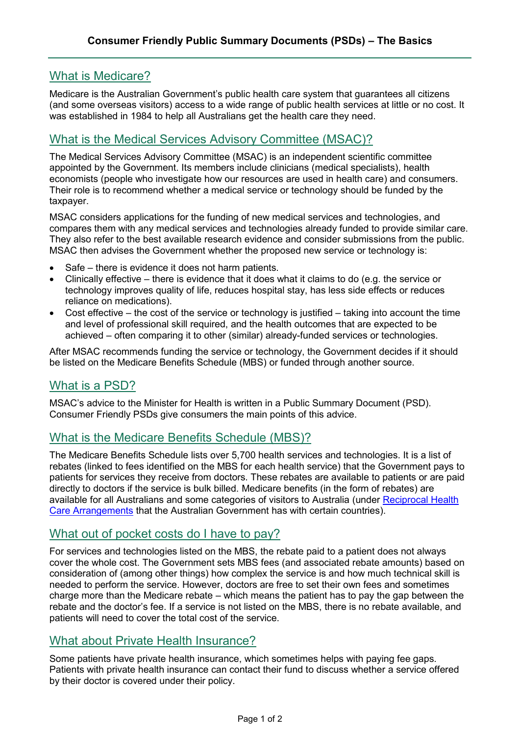# What is Medicare?

Medicare is the Australian Government's public health care system that guarantees all citizens (and some overseas visitors) access to a wide range of public health services at little or no cost. It was established in 1984 to help all Australians get the health care they need.

# What is the Medical Services Advisory Committee (MSAC)?

The Medical Services Advisory Committee (MSAC) is an independent scientific committee appointed by the Government. Its members include clinicians (medical specialists), health economists (people who investigate how our resources are used in health care) and consumers. Their role is to recommend whether a medical service or technology should be funded by the taxpayer.

MSAC considers applications for the funding of new medical services and technologies, and compares them with any medical services and technologies already funded to provide similar care. They also refer to the best available research evidence and consider submissions from the public. MSAC then advises the Government whether the proposed new service or technology is:

- Safe there is evidence it does not harm patients.
- Clinically effective there is evidence that it does what it claims to do (e.g. the service or technology improves quality of life, reduces hospital stay, has less side effects or reduces reliance on medications).
- Cost effective the cost of the service or technology is justified taking into account the time and level of professional skill required, and the health outcomes that are expected to be achieved – often comparing it to other (similar) already-funded services or technologies.

After MSAC recommends funding the service or technology, the Government decides if it should be listed on the Medicare Benefits Schedule (MBS) or funded through another source.

# What is a PSD?

MSAC's advice to the Minister for Health is written in a Public Summary Document (PSD). Consumer Friendly PSDs give consumers the main points of this advice.

## What is the Medicare Benefits Schedule (MBS)?

The Medicare Benefits Schedule lists over 5,700 health services and technologies. It is a list of rebates (linked to fees identified on the MBS for each health service) that the Government pays to patients for services they receive from doctors. These rebates are available to patients or are paid directly to doctors if the service is bulk billed. Medicare benefits (in the form of rebates) are available for all Australians and some categories of visitors to Australia (under [Reciprocal Health](https://www.humanservices.gov.au/individuals/services/medicare/reciprocal-health-care-agreements)  [Care Arrangements](https://www.humanservices.gov.au/individuals/services/medicare/reciprocal-health-care-agreements) that the Australian Government has with certain countries).

#### What out of pocket costs do I have to pay?

For services and technologies listed on the MBS, the rebate paid to a patient does not always cover the whole cost. The Government sets MBS fees (and associated rebate amounts) based on consideration of (among other things) how complex the service is and how much technical skill is needed to perform the service. However, doctors are free to set their own fees and sometimes charge more than the Medicare rebate – which means the patient has to pay the gap between the rebate and the doctor's fee. If a service is not listed on the MBS, there is no rebate available, and patients will need to cover the total cost of the service.

## What about Private Health Insurance?

Some patients have private health insurance, which sometimes helps with paying fee gaps. Patients with private health insurance can contact their fund to discuss whether a service offered by their doctor is covered under their policy.